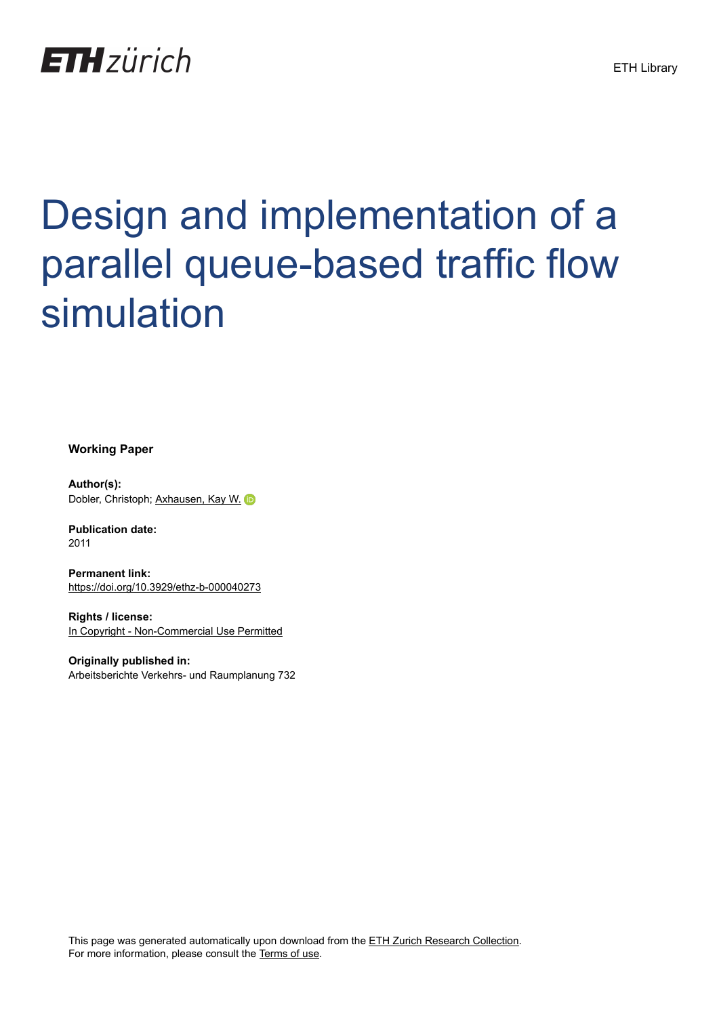

# Design and implementation of a parallel queue-based traffic flow simulation

**Working Paper**

**Author(s):** Dobler, Christoph; [Axhausen, Kay W.](https://orcid.org/0000-0003-3331-1318)

**Publication date:** 2011

**Permanent link:** <https://doi.org/10.3929/ethz-b-000040273>

**Rights / license:** [In Copyright - Non-Commercial Use Permitted](http://rightsstatements.org/page/InC-NC/1.0/)

**Originally published in:** Arbeitsberichte Verkehrs- und Raumplanung 732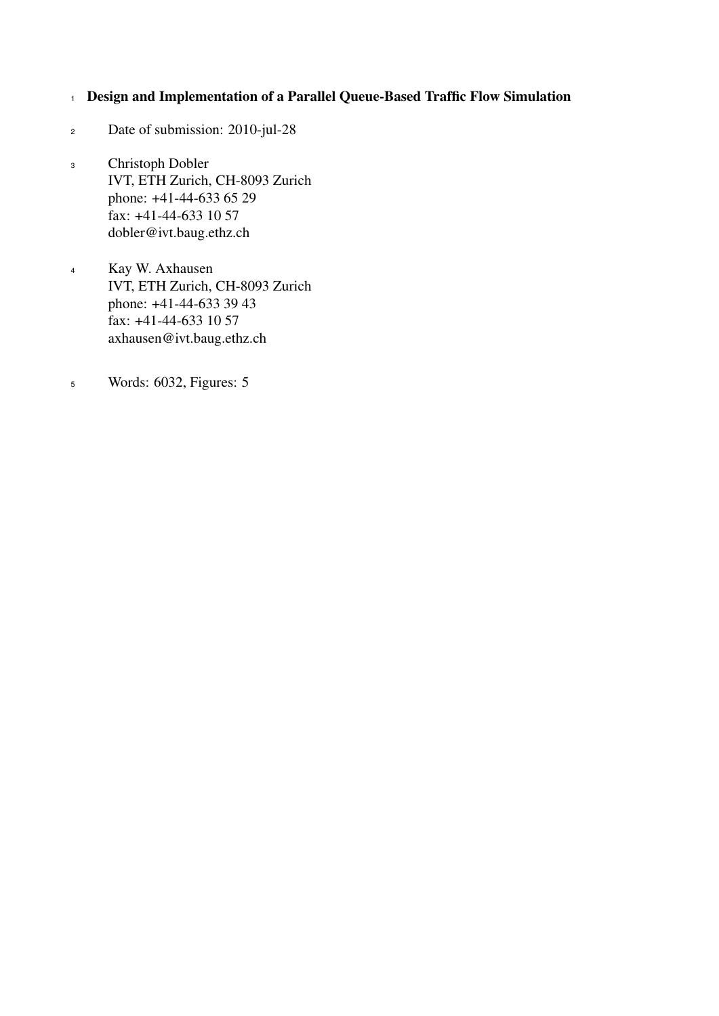# <sup>1</sup> Design and Implementation of a Parallel Queue-Based Traffic Flow Simulation

- <sup>2</sup> Date of submission: 2010-jul-28
- Christoph Dobler IVT, ETH Zurich, CH-8093 Zurich phone: +41-44-633 65 29 fax: +41-44-633 10 57 dobler@ivt.baug.ethz.ch 3
- Kay W. Axhausen IVT, ETH Zurich, CH-8093 Zurich phone: +41-44-633 39 43 fax: +41-44-633 10 57 axhausen@ivt.baug.ethz.ch 4
- <sup>5</sup> Words: 6032, Figures: 5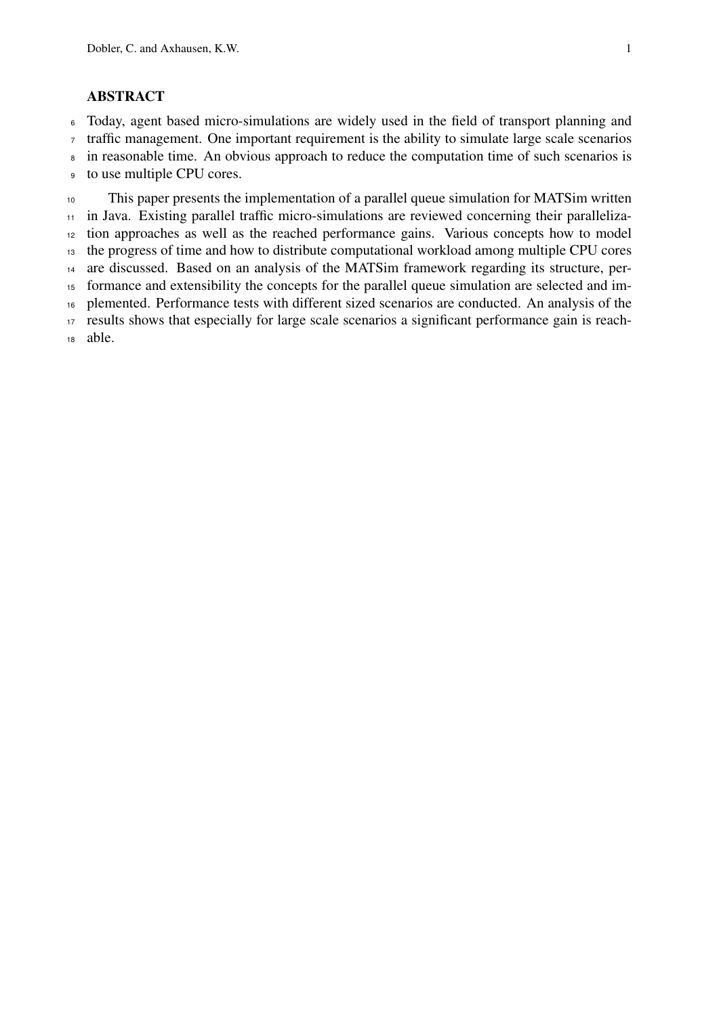# ABSTRACT

Today, agent based micro-simulations are widely used in the field of transport planning and

traffic management. One important requirement is the ability to simulate large scale scenarios

<sup>8</sup> in reasonable time. An obvious approach to reduce the computation time of such scenarios is

to use multiple CPU cores.

 This paper presents the implementation of a parallel queue simulation for MATSim written in Java. Existing parallel traffic micro-simulations are reviewed concerning their paralleliza- tion approaches as well as the reached performance gains. Various concepts how to model the progress of time and how to distribute computational workload among multiple CPU cores are discussed. Based on an analysis of the MATSim framework regarding its structure, per- formance and extensibility the concepts for the parallel queue simulation are selected and im- plemented. Performance tests with different sized scenarios are conducted. An analysis of the results shows that especially for large scale scenarios a significant performance gain is reach-able.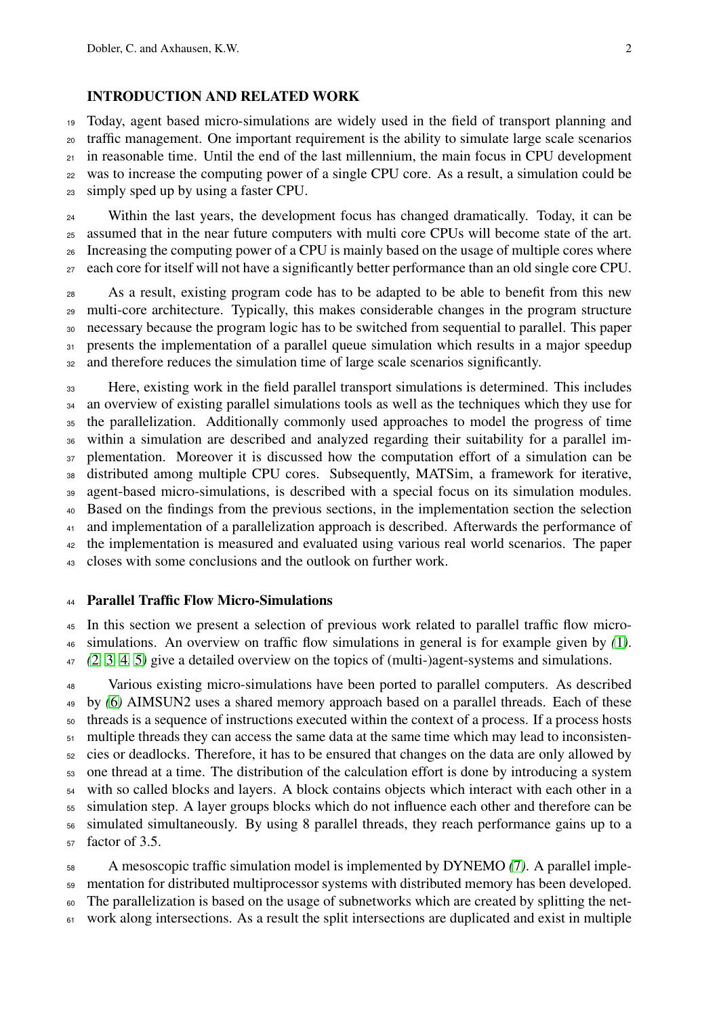### INTRODUCTION AND RELATED WORK

 Today, agent based micro-simulations are widely used in the field of transport planning and traffic management. One important requirement is the ability to simulate large scale scenarios in reasonable time. Until the end of the last millennium, the main focus in CPU development was to increase the computing power of a single CPU core. As a result, a simulation could be simply sped up by using a faster CPU.

 Within the last years, the development focus has changed dramatically. Today, it can be assumed that in the near future computers with multi core CPUs will become state of the art. Increasing the computing power of a CPU is mainly based on the usage of multiple cores where each core for itself will not have a significantly better performance than an old single core CPU.

 As a result, existing program code has to be adapted to be able to benefit from this new multi-core architecture. Typically, this makes considerable changes in the program structure necessary because the program logic has to be switched from sequential to parallel. This paper 31 presents the implementation of a parallel queue simulation which results in a major speedup and therefore reduces the simulation time of large scale scenarios significantly.

 Here, existing work in the field parallel transport simulations is determined. This includes an overview of existing parallel simulations tools as well as the techniques which they use for the parallelization. Additionally commonly used approaches to model the progress of time within a simulation are described and analyzed regarding their suitability for a parallel im- plementation. Moreover it is discussed how the computation effort of a simulation can be distributed among multiple CPU cores. Subsequently, MATSim, a framework for iterative, agent-based micro-simulations, is described with a special focus on its simulation modules. Based on the findings from the previous sections, in the implementation section the selection <sup>41</sup> and implementation of a parallelization approach is described. Afterwards the performance of the implementation is measured and evaluated using various real world scenarios. The paper closes with some conclusions and the outlook on further work.

## Parallel Traffic Flow Micro-Simulations

 In this section we present a selection of previous work related to parallel traffic flow micro-simulations. An overview on traffic flow simulations in general is for example given by *(*[1](#page-15-0)*)*.

*(*[2](#page-15-1)*,* [3](#page-15-2)*,* [4](#page-15-3)*,* [5](#page-15-4)*)* give a detailed overview on the topics of (multi-)agent-systems and simulations.

 Various existing micro-simulations have been ported to parallel computers. As described by *(*[6](#page-16-0)*)* AIMSUN2 uses a shared memory approach based on a parallel threads. Each of these threads is a sequence of instructions executed within the context of a process. If a process hosts multiple threads they can access the same data at the same time which may lead to inconsisten- cies or deadlocks. Therefore, it has to be ensured that changes on the data are only allowed by one thread at a time. The distribution of the calculation effort is done by introducing a system with so called blocks and layers. A block contains objects which interact with each other in a simulation step. A layer groups blocks which do not influence each other and therefore can be simulated simultaneously. By using 8 parallel threads, they reach performance gains up to a factor of  $3.5$ .

 A mesoscopic traffic simulation model is implemented by DYNEMO *(*[7](#page-16-1)*)*. A parallel imple- mentation for distributed multiprocessor systems with distributed memory has been developed. The parallelization is based on the usage of subnetworks which are created by splitting the net-work along intersections. As a result the split intersections are duplicated and exist in multiple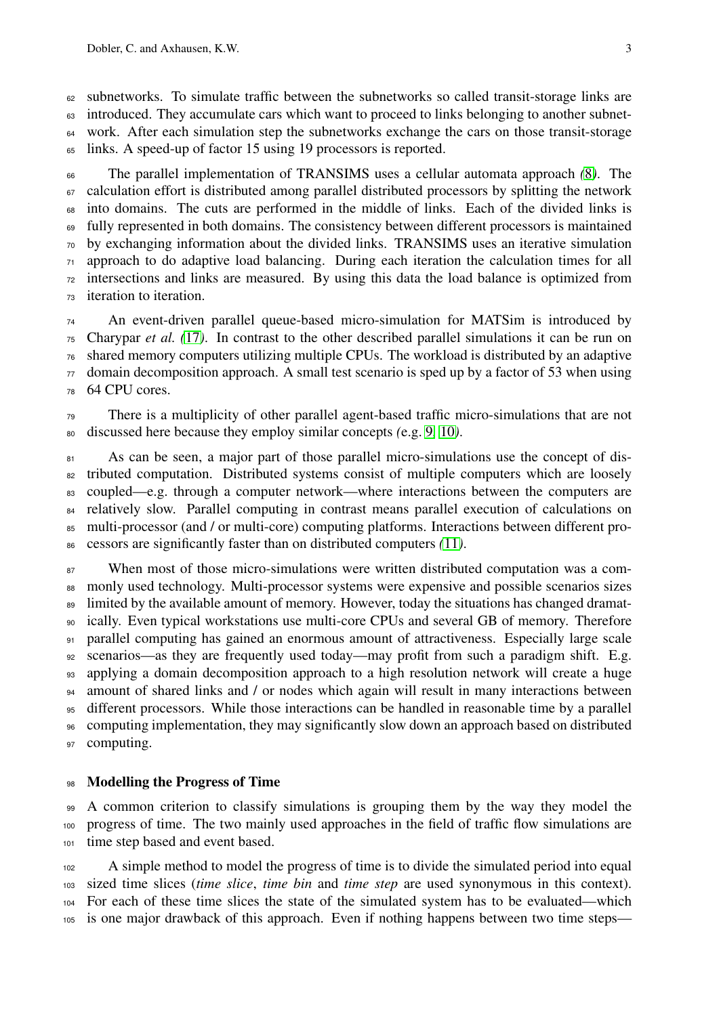subnetworks. To simulate traffic between the subnetworks so called transit-storage links are introduced. They accumulate cars which want to proceed to links belonging to another subnet-<sup>64</sup> work. After each simulation step the subnetworks exchange the cars on those transit-storage links. A speed-up of factor 15 using 19 processors is reported.

 The parallel implementation of TRANSIMS uses a cellular automata approach *(*[8](#page-16-2)*)*. The calculation effort is distributed among parallel distributed processors by splitting the network into domains. The cuts are performed in the middle of links. Each of the divided links is fully represented in both domains. The consistency between different processors is maintained by exchanging information about the divided links. TRANSIMS uses an iterative simulation approach to do adaptive load balancing. During each iteration the calculation times for all intersections and links are measured. By using this data the load balance is optimized from iteration to iteration.

 An event-driven parallel queue-based micro-simulation for MATSim is introduced by Charypar *et al. (*[17](#page-16-3)*)*. In contrast to the other described parallel simulations it can be run on shared memory computers utilizing multiple CPUs. The workload is distributed by an adaptive domain decomposition approach. A small test scenario is sped up by a factor of 53 when using 64 CPU cores.

 There is a multiplicity of other parallel agent-based traffic micro-simulations that are not discussed here because they employ similar concepts *(*e.g. [9](#page-16-4)*,* [10](#page-16-5)*)*.

81 As can be seen, a major part of those parallel micro-simulations use the concept of dis- tributed computation. Distributed systems consist of multiple computers which are loosely coupled—e.g. through a computer network—where interactions between the computers are 84 relatively slow. Parallel computing in contrast means parallel execution of calculations on multi-processor (and / or multi-core) computing platforms. Interactions between different pro-cessors are significantly faster than on distributed computers *(*[11](#page-16-6)*)*.

 When most of those micro-simulations were written distributed computation was a com-88 monly used technology. Multi-processor systems were expensive and possible scenarios sizes 89 limited by the available amount of memory. However, today the situations has changed dramat- ically. Even typical workstations use multi-core CPUs and several GB of memory. Therefore parallel computing has gained an enormous amount of attractiveness. Especially large scale 92 scenarios—as they are frequently used today—may profit from such a paradigm shift. E.g. applying a domain decomposition approach to a high resolution network will create a huge amount of shared links and / or nodes which again will result in many interactions between different processors. While those interactions can be handled in reasonable time by a parallel computing implementation, they may significantly slow down an approach based on distributed computing.

#### Modelling the Progress of Time

 A common criterion to classify simulations is grouping them by the way they model the progress of time. The two mainly used approaches in the field of traffic flow simulations are time step based and event based.

 A simple method to model the progress of time is to divide the simulated period into equal sized time slices (*time slice*, *time bin* and *time step* are used synonymous in this context). For each of these time slices the state of the simulated system has to be evaluated—which is one major drawback of this approach. Even if nothing happens between two time steps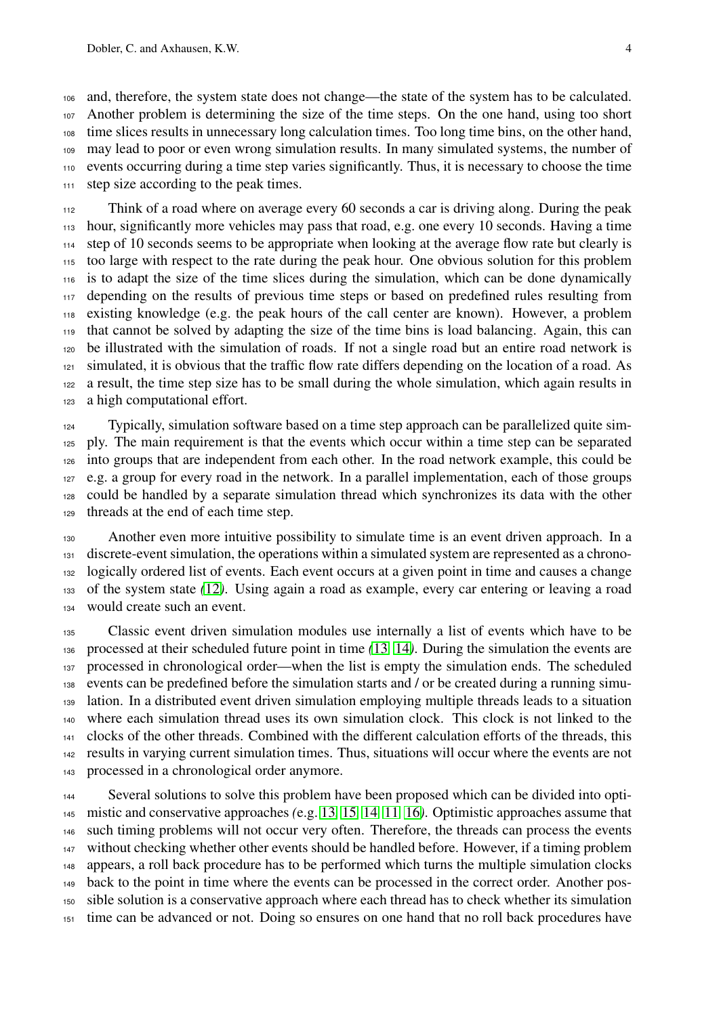and, therefore, the system state does not change—the state of the system has to be calculated. Another problem is determining the size of the time steps. On the one hand, using too short time slices results in unnecessary long calculation times. Too long time bins, on the other hand, may lead to poor or even wrong simulation results. In many simulated systems, the number of events occurring during a time step varies significantly. Thus, it is necessary to choose the time step size according to the peak times.

 Think of a road where on average every 60 seconds a car is driving along. During the peak hour, significantly more vehicles may pass that road, e.g. one every 10 seconds. Having a time 114 step of 10 seconds seems to be appropriate when looking at the average flow rate but clearly is too large with respect to the rate during the peak hour. One obvious solution for this problem is to adapt the size of the time slices during the simulation, which can be done dynamically depending on the results of previous time steps or based on predefined rules resulting from existing knowledge (e.g. the peak hours of the call center are known). However, a problem that cannot be solved by adapting the size of the time bins is load balancing. Again, this can be illustrated with the simulation of roads. If not a single road but an entire road network is simulated, it is obvious that the traffic flow rate differs depending on the location of a road. As a result, the time step size has to be small during the whole simulation, which again results in a high computational effort.

 Typically, simulation software based on a time step approach can be parallelized quite sim- ply. The main requirement is that the events which occur within a time step can be separated into groups that are independent from each other. In the road network example, this could be e.g. a group for every road in the network. In a parallel implementation, each of those groups could be handled by a separate simulation thread which synchronizes its data with the other threads at the end of each time step.

 Another even more intuitive possibility to simulate time is an event driven approach. In a discrete-event simulation, the operations within a simulated system are represented as a chrono- logically ordered list of events. Each event occurs at a given point in time and causes a change of the system state *(*[12](#page-16-7)*)*. Using again a road as example, every car entering or leaving a road would create such an event.

 Classic event driven simulation modules use internally a list of events which have to be processed at their scheduled future point in time *(*[13](#page-16-8)*,* [14](#page-16-9)*)*. During the simulation the events are processed in chronological order—when the list is empty the simulation ends. The scheduled events can be predefined before the simulation starts and / or be created during a running simu- lation. In a distributed event driven simulation employing multiple threads leads to a situation where each simulation thread uses its own simulation clock. This clock is not linked to the clocks of the other threads. Combined with the different calculation efforts of the threads, this results in varying current simulation times. Thus, situations will occur where the events are not processed in a chronological order anymore.

 Several solutions to solve this problem have been proposed which can be divided into opti- mistic and conservative approaches *(*e.g. [13](#page-16-8)*,* [15](#page-16-10)*,* [14](#page-16-9)*,* [11](#page-16-6)*,* [16](#page-16-11)*)*. Optimistic approaches assume that such timing problems will not occur very often. Therefore, the threads can process the events without checking whether other events should be handled before. However, if a timing problem appears, a roll back procedure has to be performed which turns the multiple simulation clocks back to the point in time where the events can be processed in the correct order. Another pos- sible solution is a conservative approach where each thread has to check whether its simulation time can be advanced or not. Doing so ensures on one hand that no roll back procedures have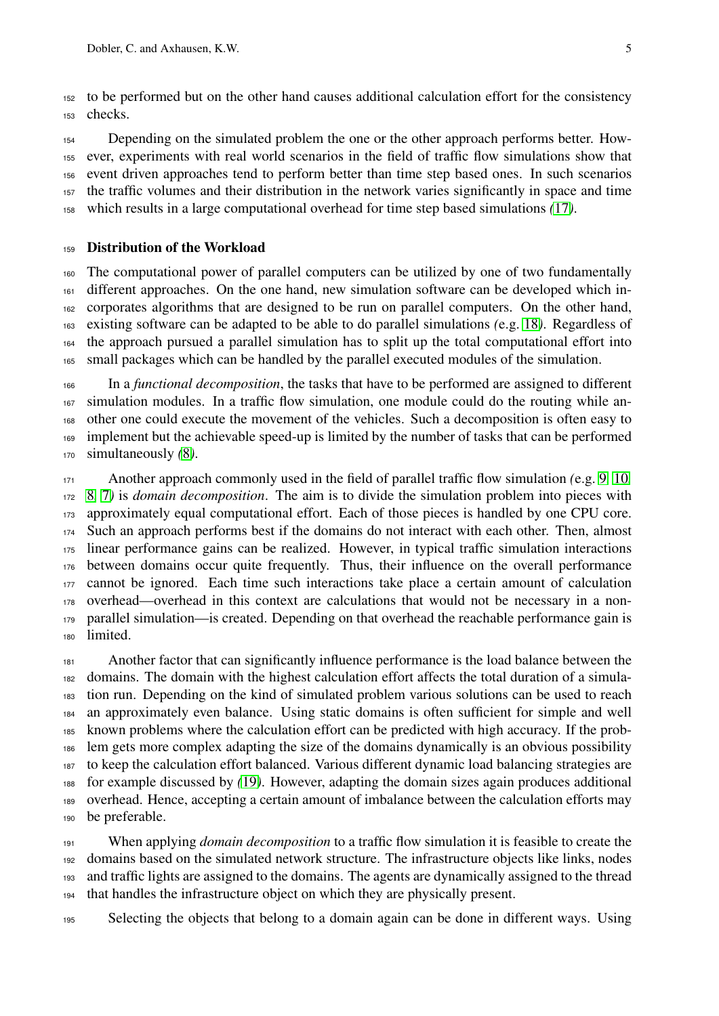to be performed but on the other hand causes additional calculation effort for the consistency checks.

154 Depending on the simulated problem the one or the other approach performs better. How- ever, experiments with real world scenarios in the field of traffic flow simulations show that event driven approaches tend to perform better than time step based ones. In such scenarios the traffic volumes and their distribution in the network varies significantly in space and time which results in a large computational overhead for time step based simulations *(*[17](#page-16-3)*)*.

#### Distribution of the Workload

 The computational power of parallel computers can be utilized by one of two fundamentally different approaches. On the one hand, new simulation software can be developed which in- corporates algorithms that are designed to be run on parallel computers. On the other hand, existing software can be adapted to be able to do parallel simulations *(*e.g. [18](#page-16-12)*)*. Regardless of the approach pursued a parallel simulation has to split up the total computational effort into small packages which can be handled by the parallel executed modules of the simulation.

 In a *functional decomposition*, the tasks that have to be performed are assigned to different simulation modules. In a traffic flow simulation, one module could do the routing while an- other one could execute the movement of the vehicles. Such a decomposition is often easy to implement but the achievable speed-up is limited by the number of tasks that can be performed simultaneously *(*[8](#page-16-2)*)*.

 Another approach commonly used in the field of parallel traffic flow simulation *(*e.g. [9](#page-16-4)*,* [10](#page-16-5)*,* [8](#page-16-2)*,* [7](#page-16-1)*)* is *domain decomposition*. The aim is to divide the simulation problem into pieces with approximately equal computational effort. Each of those pieces is handled by one CPU core. Such an approach performs best if the domains do not interact with each other. Then, almost linear performance gains can be realized. However, in typical traffic simulation interactions between domains occur quite frequently. Thus, their influence on the overall performance cannot be ignored. Each time such interactions take place a certain amount of calculation overhead—overhead in this context are calculations that would not be necessary in a non- parallel simulation—is created. Depending on that overhead the reachable performance gain is limited.

 Another factor that can significantly influence performance is the load balance between the domains. The domain with the highest calculation effort affects the total duration of a simula- tion run. Depending on the kind of simulated problem various solutions can be used to reach an approximately even balance. Using static domains is often sufficient for simple and well known problems where the calculation effort can be predicted with high accuracy. If the prob- lem gets more complex adapting the size of the domains dynamically is an obvious possibility to keep the calculation effort balanced. Various different dynamic load balancing strategies are for example discussed by *(*[19](#page-16-13)*)*. However, adapting the domain sizes again produces additional overhead. Hence, accepting a certain amount of imbalance between the calculation efforts may be preferable.

 When applying *domain decomposition* to a traffic flow simulation it is feasible to create the domains based on the simulated network structure. The infrastructure objects like links, nodes and traffic lights are assigned to the domains. The agents are dynamically assigned to the thread that handles the infrastructure object on which they are physically present.

Selecting the objects that belong to a domain again can be done in different ways. Using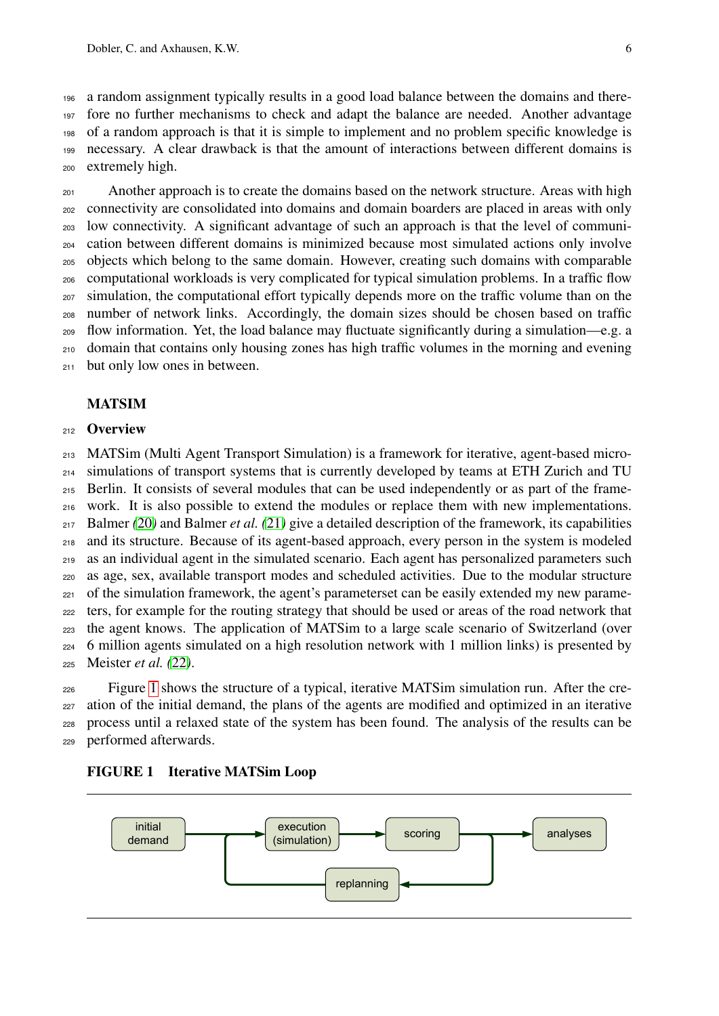a random assignment typically results in a good load balance between the domains and there- fore no further mechanisms to check and adapt the balance are needed. Another advantage of a random approach is that it is simple to implement and no problem specific knowledge is necessary. A clear drawback is that the amount of interactions between different domains is extremely high.

201 Another approach is to create the domains based on the network structure. Areas with high connectivity are consolidated into domains and domain boarders are placed in areas with only low connectivity. A significant advantage of such an approach is that the level of communi- cation between different domains is minimized because most simulated actions only involve objects which belong to the same domain. However, creating such domains with comparable computational workloads is very complicated for typical simulation problems. In a traffic flow simulation, the computational effort typically depends more on the traffic volume than on the number of network links. Accordingly, the domain sizes should be chosen based on traffic flow information. Yet, the load balance may fluctuate significantly during a simulation—e.g. a domain that contains only housing zones has high traffic volumes in the morning and evening but only low ones in between.

## MATSIM

#### 212 Overview

 MATSim (Multi Agent Transport Simulation) is a framework for iterative, agent-based micro- simulations of transport systems that is currently developed by teams at ETH Zurich and TU Berlin. It consists of several modules that can be used independently or as part of the frame- work. It is also possible to extend the modules or replace them with new implementations. Balmer *(*[20](#page-17-0)*)* and Balmer *et al. (*[21](#page-17-1)*)* give a detailed description of the framework, its capabilities and its structure. Because of its agent-based approach, every person in the system is modeled as an individual agent in the simulated scenario. Each agent has personalized parameters such as age, sex, available transport modes and scheduled activities. Due to the modular structure of the simulation framework, the agent's parameters et can be easily extended my new parame- ters, for example for the routing strategy that should be used or areas of the road network that the agent knows. The application of MATSim to a large scale scenario of Switzerland (over 6 million agents simulated on a high resolution network with 1 million links) is presented by Meister *et al. (*[22](#page-17-2)*)*.

 Figure [1](#page-7-0) shows the structure of a typical, iterative MATSim simulation run. After the cre- ation of the initial demand, the plans of the agents are modified and optimized in an iterative process until a relaxed state of the system has been found. The analysis of the results can be performed afterwards.

<span id="page-7-0"></span>FIGURE 1 Iterative MATSim Loop

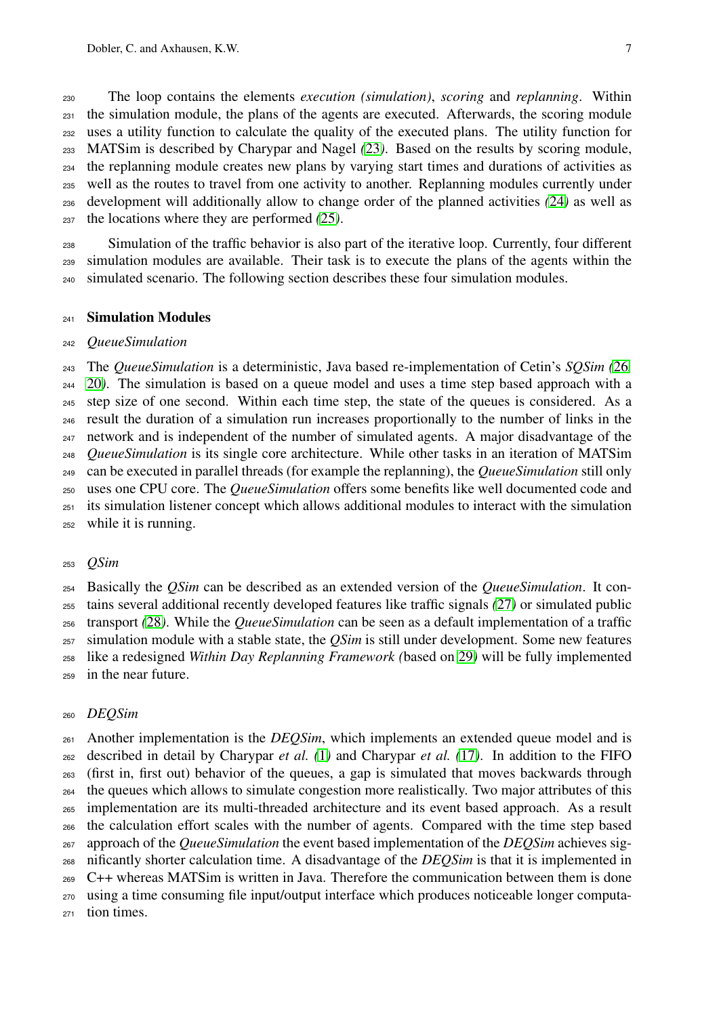The loop contains the elements *execution (simulation)*, *scoring* and *replanning*. Within the simulation module, the plans of the agents are executed. Afterwards, the scoring module uses a utility function to calculate the quality of the executed plans. The utility function for MATSim is described by Charypar and Nagel *(*[23](#page-17-3)*)*. Based on the results by scoring module, the replanning module creates new plans by varying start times and durations of activities as well as the routes to travel from one activity to another. Replanning modules currently under development will additionally allow to change order of the planned activities *(*[24](#page-17-4)*)* as well as the locations where they are performed *(*[25](#page-17-5)*)*.

 Simulation of the traffic behavior is also part of the iterative loop. Currently, four different simulation modules are available. Their task is to execute the plans of the agents within the simulated scenario. The following section describes these four simulation modules.

#### Simulation Modules

#### *QueueSimulation*

 The *QueueSimulation* is a deterministic, Java based re-implementation of Cetin's *SQSim (*[26](#page-17-6)*,* [20](#page-17-0)*)*. The simulation is based on a queue model and uses a time step based approach with a step size of one second. Within each time step, the state of the queues is considered. As a result the duration of a simulation run increases proportionally to the number of links in the network and is independent of the number of simulated agents. A major disadvantage of the *QueueSimulation* is its single core architecture. While other tasks in an iteration of MATSim can be executed in parallel threads (for example the replanning), the *QueueSimulation* still only uses one CPU core. The *QueueSimulation* offers some benefits like well documented code and its simulation listener concept which allows additional modules to interact with the simulation while it is running.

#### *QSim*

 Basically the *QSim* can be described as an extended version of the *QueueSimulation*. It con- tains several additional recently developed features like traffic signals *(*[27](#page-17-7)*)* or simulated public transport *(*[28](#page-17-8)*)*. While the *QueueSimulation* can be seen as a default implementation of a traffic simulation module with a stable state, the *QSim* is still under development. Some new features like a redesigned *Within Day Replanning Framework (*based on [29](#page-17-9)*)* will be fully implemented in the near future.

#### *DEQSim*

 Another implementation is the *DEQSim*, which implements an extended queue model and is described in detail by Charypar *et al. (*[1](#page-15-0)*)* and Charypar *et al. (*[17](#page-16-3)*)*. In addition to the FIFO (first in, first out) behavior of the queues, a gap is simulated that moves backwards through the queues which allows to simulate congestion more realistically. Two major attributes of this implementation are its multi-threaded architecture and its event based approach. As a result the calculation effort scales with the number of agents. Compared with the time step based approach of the *QueueSimulation* the event based implementation of the *DEQSim* achieves sig- nificantly shorter calculation time. A disadvantage of the *DEQSim* is that it is implemented in C++ whereas MATSim is written in Java. Therefore the communication between them is done using a time consuming file input/output interface which produces noticeable longer computa-tion times.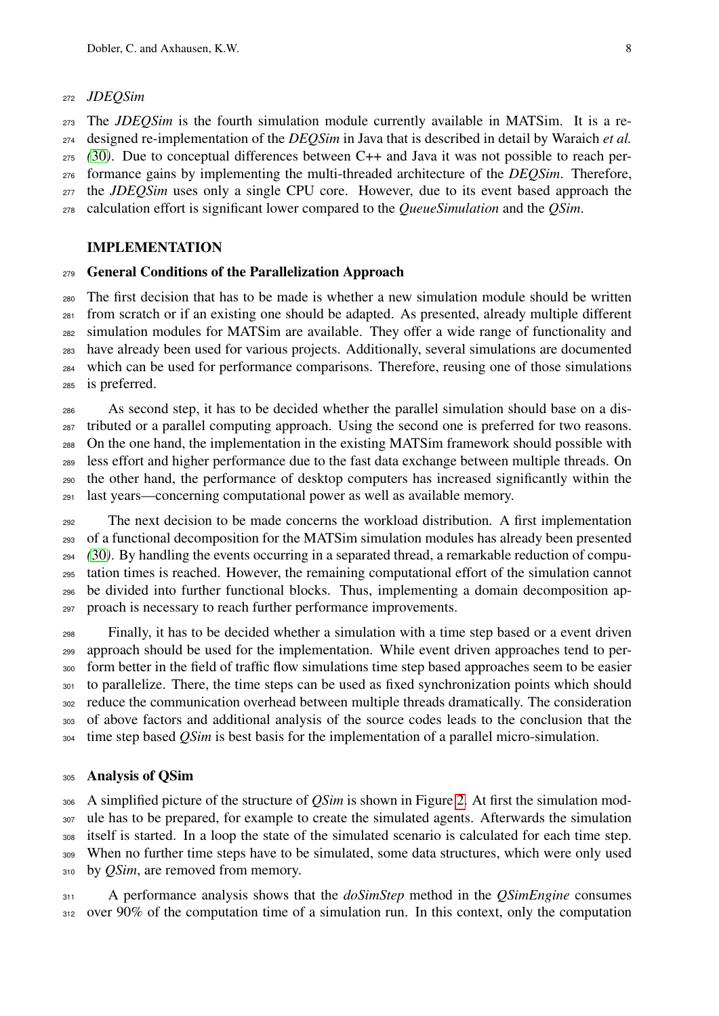#### *JDEQSim*

 The *JDEQSim* is the fourth simulation module currently available in MATSim. It is a re- designed re-implementation of the *DEQSim* in Java that is described in detail by Waraich *et al. (*[30](#page-17-10)*)*. Due to conceptual differences between C++ and Java it was not possible to reach per- formance gains by implementing the multi-threaded architecture of the *DEQSim*. Therefore, the *JDEQSim* uses only a single CPU core. However, due to its event based approach the calculation effort is significant lower compared to the *QueueSimulation* and the *QSim*.

#### IMPLEMENTATION

#### General Conditions of the Parallelization Approach

 The first decision that has to be made is whether a new simulation module should be written from scratch or if an existing one should be adapted. As presented, already multiple different simulation modules for MATSim are available. They offer a wide range of functionality and have already been used for various projects. Additionally, several simulations are documented which can be used for performance comparisons. Therefore, reusing one of those simulations is preferred.

 As second step, it has to be decided whether the parallel simulation should base on a dis- tributed or a parallel computing approach. Using the second one is preferred for two reasons. On the one hand, the implementation in the existing MATSim framework should possible with less effort and higher performance due to the fast data exchange between multiple threads. On the other hand, the performance of desktop computers has increased significantly within the last years—concerning computational power as well as available memory.

 The next decision to be made concerns the workload distribution. A first implementation of a functional decomposition for the MATSim simulation modules has already been presented *(*[30](#page-17-10)*)*. By handling the events occurring in a separated thread, a remarkable reduction of compu- tation times is reached. However, the remaining computational effort of the simulation cannot be divided into further functional blocks. Thus, implementing a domain decomposition ap-proach is necessary to reach further performance improvements.

 Finally, it has to be decided whether a simulation with a time step based or a event driven approach should be used for the implementation. While event driven approaches tend to per- form better in the field of traffic flow simulations time step based approaches seem to be easier to parallelize. There, the time steps can be used as fixed synchronization points which should reduce the communication overhead between multiple threads dramatically. The consideration of above factors and additional analysis of the source codes leads to the conclusion that the time step based *QSim* is best basis for the implementation of a parallel micro-simulation.

#### Analysis of QSim

 A simplified picture of the structure of *QSim* is shown in Figure [2.](#page-10-0) At first the simulation mod- ule has to be prepared, for example to create the simulated agents. Afterwards the simulation itself is started. In a loop the state of the simulated scenario is calculated for each time step. When no further time steps have to be simulated, some data structures, which were only used 310 by *QSim*, are removed from memory.

 A performance analysis shows that the *doSimStep* method in the *QSimEngine* consumes 312 over 90% of the computation time of a simulation run. In this context, only the computation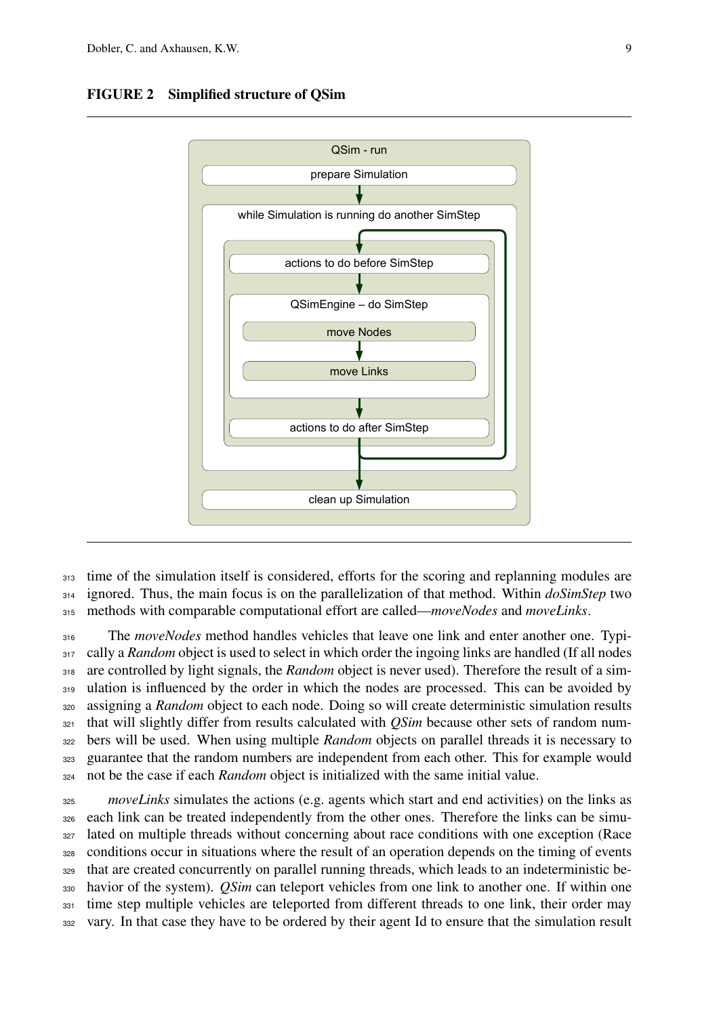

#### <span id="page-10-0"></span>FIGURE 2 Simplified structure of QSim

313 time of the simulation itself is considered, efforts for the scoring and replanning modules are <sup>314</sup> ignored. Thus, the main focus is on the parallelization of that method. Within *doSimStep* two <sup>315</sup> methods with comparable computational effort are called—*moveNodes* and *moveLinks*.

 The *moveNodes* method handles vehicles that leave one link and enter another one. Typi-317 cally a *Random* object is used to select in which order the ingoing links are handled (If all nodes are controlled by light signals, the *Random* object is never used). Therefore the result of a sim-319 ulation is influenced by the order in which the nodes are processed. This can be avoided by assigning a *Random* object to each node. Doing so will create deterministic simulation results that will slightly differ from results calculated with *QSim* because other sets of random num- bers will be used. When using multiple *Random* objects on parallel threads it is necessary to guarantee that the random numbers are independent from each other. This for example would not be the case if each *Random* object is initialized with the same initial value.

 *moveLinks* simulates the actions (e.g. agents which start and end activities) on the links as each link can be treated independently from the other ones. Therefore the links can be simu- lated on multiple threads without concerning about race conditions with one exception (Race conditions occur in situations where the result of an operation depends on the timing of events that are created concurrently on parallel running threads, which leads to an indeterministic be- havior of the system). *QSim* can teleport vehicles from one link to another one. If within one <sup>331</sup> time step multiple vehicles are teleported from different threads to one link, their order may vary. In that case they have to be ordered by their agent Id to ensure that the simulation result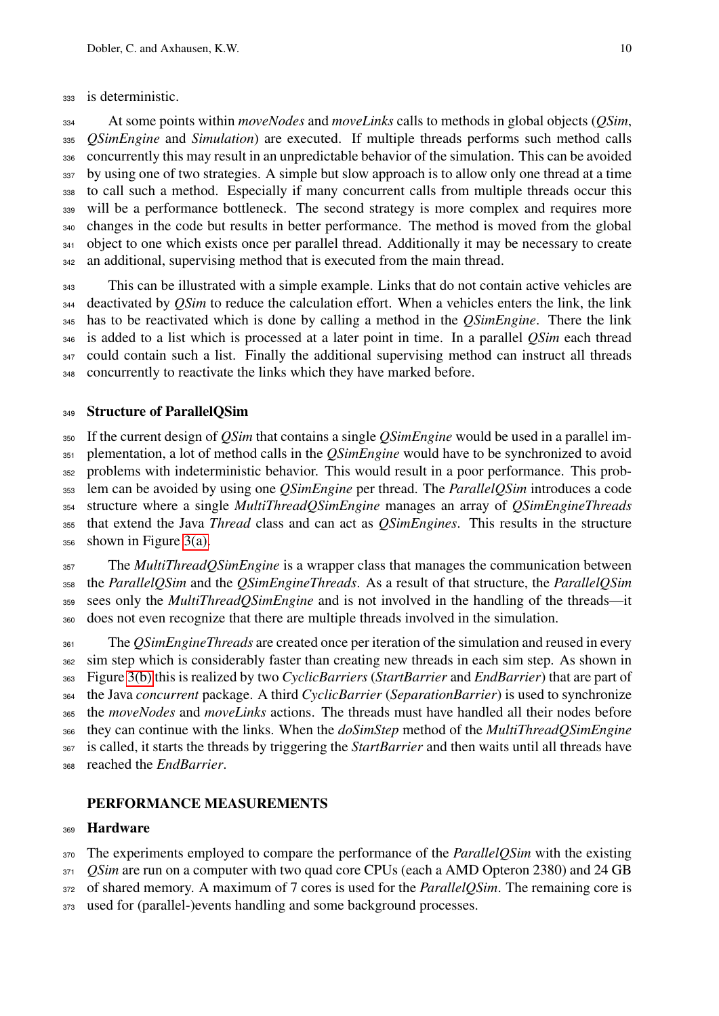is deterministic.

 At some points within *moveNodes* and *moveLinks* calls to methods in global objects (*QSim*, *QSimEngine* and *Simulation*) are executed. If multiple threads performs such method calls concurrently this may result in an unpredictable behavior of the simulation. This can be avoided by using one of two strategies. A simple but slow approach is to allow only one thread at a time to call such a method. Especially if many concurrent calls from multiple threads occur this will be a performance bottleneck. The second strategy is more complex and requires more changes in the code but results in better performance. The method is moved from the global 341 object to one which exists once per parallel thread. Additionally it may be necessary to create an additional, supervising method that is executed from the main thread.

 This can be illustrated with a simple example. Links that do not contain active vehicles are deactivated by *QSim* to reduce the calculation effort. When a vehicles enters the link, the link has to be reactivated which is done by calling a method in the *QSimEngine*. There the link is added to a list which is processed at a later point in time. In a parallel *QSim* each thread 347 could contain such a list. Finally the additional supervising method can instruct all threads concurrently to reactivate the links which they have marked before.

# 349 Structure of ParallelQSim

 If the current design of *QSim* that contains a single *QSimEngine* would be used in a parallel im- plementation, a lot of method calls in the *QSimEngine* would have to be synchronized to avoid problems with indeterministic behavior. This would result in a poor performance. This prob- lem can be avoided by using one *QSimEngine* per thread. The *ParallelQSim* introduces a code structure where a single *MultiThreadQSimEngine* manages an array of *QSimEngineThreads* that extend the Java *Thread* class and can act as *QSimEngines*. This results in the structure shown in Figure [3\(a\).](#page-12-0)

 The *MultiThreadQSimEngine* is a wrapper class that manages the communication between the *ParallelQSim* and the *QSimEngineThreads*. As a result of that structure, the *ParallelQSim* sees only the *MultiThreadQSimEngine* and is not involved in the handling of the threads—it does not even recognize that there are multiple threads involved in the simulation.

 The *QSimEngineThreads* are created once per iteration of the simulation and reused in every sim step which is considerably faster than creating new threads in each sim step. As shown in Figure [3\(b\)](#page-12-1) this is realized by two *CyclicBarriers* (*StartBarrier* and *EndBarrier*) that are part of the Java *concurrent* package. A third *CyclicBarrier* (*SeparationBarrier*) is used to synchronize the *moveNodes* and *moveLinks* actions. The threads must have handled all their nodes before they can continue with the links. When the *doSimStep* method of the *MultiThreadQSimEngine* is called, it starts the threads by triggering the *StartBarrier* and then waits until all threads have reached the *EndBarrier*.

# PERFORMANCE MEASUREMENTS

# Hardware

The experiments employed to compare the performance of the *ParallelQSim* with the existing

- *QSim* are run on a computer with two quad core CPUs (each a AMD Opteron 2380) and 24 GB
- of shared memory. A maximum of 7 cores is used for the *ParallelQSim*. The remaining core is
- 373 used for (parallel-)events handling and some background processes.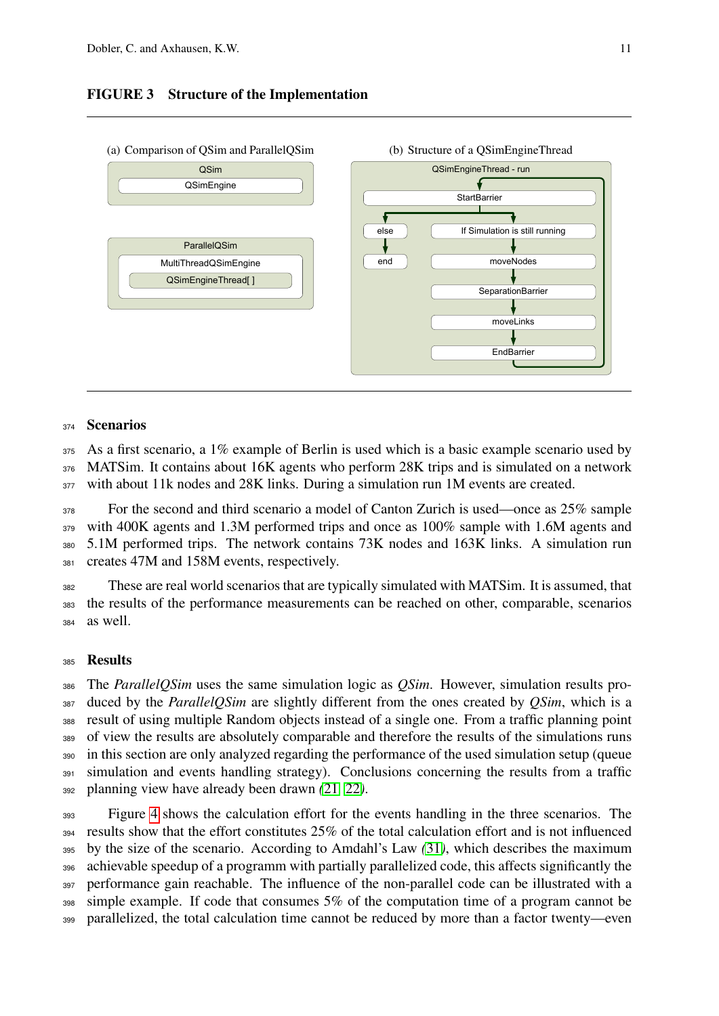## <span id="page-12-1"></span>FIGURE 3 Structure of the Implementation

<span id="page-12-0"></span>

#### <sup>374</sup> Scenarios

 $375$  As a first scenario, a 1% example of Berlin is used which is a basic example scenario used by <sup>376</sup> MATSim. It contains about 16K agents who perform 28K trips and is simulated on a network 377 with about 11k nodes and 28K links. During a simulation run 1M events are created.

 For the second and third scenario a model of Canton Zurich is used—once as 25% sample with 400K agents and 1.3M performed trips and once as 100% sample with 1.6M agents and 5.1M performed trips. The network contains 73K nodes and 163K links. A simulation run creates 47M and 158M events, respectively.

<sup>382</sup> These are real world scenarios that are typically simulated with MATSim. It is assumed, that <sup>383</sup> the results of the performance measurements can be reached on other, comparable, scenarios <sup>384</sup> as well.

## 385 Results

 The *ParallelQSim* uses the same simulation logic as *QSim*. However, simulation results pro- duced by the *ParallelQSim* are slightly different from the ones created by *QSim*, which is a result of using multiple Random objects instead of a single one. From a traffic planning point of view the results are absolutely comparable and therefore the results of the simulations runs in this section are only analyzed regarding the performance of the used simulation setup (queue 391 simulation and events handling strategy). Conclusions concerning the results from a traffic planning view have already been drawn *(*[21](#page-17-1)*,* [22](#page-17-2)*)*.

 Figure [4](#page-13-0) shows the calculation effort for the events handling in the three scenarios. The results show that the effort constitutes 25% of the total calculation effort and is not influenced by the size of the scenario. According to Amdahl's Law *(*[31](#page-17-11)*)*, which describes the maximum achievable speedup of a programm with partially parallelized code, this affects significantly the performance gain reachable. The influence of the non-parallel code can be illustrated with a simple example. If code that consumes 5% of the computation time of a program cannot be parallelized, the total calculation time cannot be reduced by more than a factor twenty—even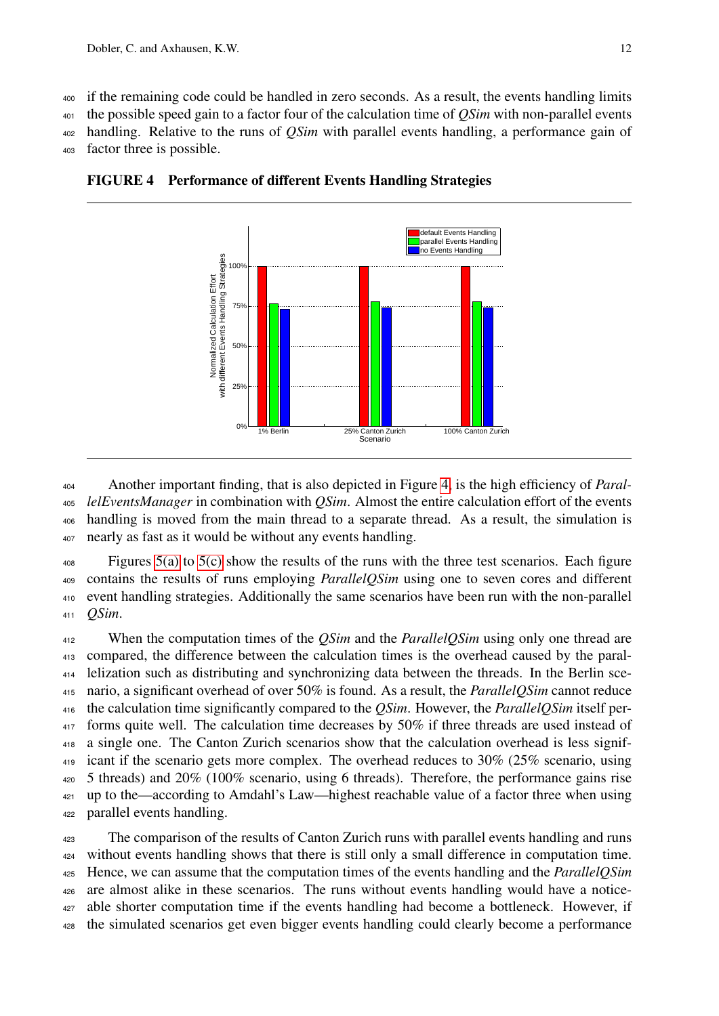<sup>400</sup> if the remaining code could be handled in zero seconds. As a result, the events handling limits

<sup>401</sup> the possible speed gain to a factor four of the calculation time of *QSim* with non-parallel events

<sup>402</sup> handling. Relative to the runs of *QSim* with parallel events handling, a performance gain of

<sup>403</sup> factor three is possible.



<span id="page-13-0"></span>FIGURE 4 Performance of different Events Handling Strategies

 Another important finding, that is also depicted in Figure [4,](#page-13-0) is the high efficiency of *Paral- lelEventsManager* in combination with *QSim*. Almost the entire calculation effort of the events handling is moved from the main thread to a separate thread. As a result, the simulation is nearly as fast as it would be without any events handling.

 $\frac{408}{408}$  Figures [5\(a\)](#page-14-0) to [5\(c\)](#page-14-1) show the results of the runs with the three test scenarios. Each figure <sup>409</sup> contains the results of runs employing *ParallelQSim* using one to seven cores and different <sup>410</sup> event handling strategies. Additionally the same scenarios have been run with the non-parallel <sup>411</sup> *QSim*.

 When the computation times of the *QSim* and the *ParallelQSim* using only one thread are compared, the difference between the calculation times is the overhead caused by the paral- lelization such as distributing and synchronizing data between the threads. In the Berlin sce- nario, a significant overhead of over 50% is found. As a result, the *ParallelQSim* cannot reduce the calculation time significantly compared to the *QSim*. However, the *ParallelQSim* itself per-417 forms quite well. The calculation time decreases by 50% if three threads are used instead of a single one. The Canton Zurich scenarios show that the calculation overhead is less signif-419 icant if the scenario gets more complex. The overhead reduces to 30% (25% scenario, using 5 threads) and 20% (100% scenario, using 6 threads). Therefore, the performance gains rise up to the—according to Amdahl's Law—highest reachable value of a factor three when using parallel events handling.

<sup>423</sup> The comparison of the results of Canton Zurich runs with parallel events handling and runs without events handling shows that there is still only a small difference in computation time. Hence, we can assume that the computation times of the events handling and the *ParallelQSim* are almost alike in these scenarios. The runs without events handling would have a notice- able shorter computation time if the events handling had become a bottleneck. However, if the simulated scenarios get even bigger events handling could clearly become a performance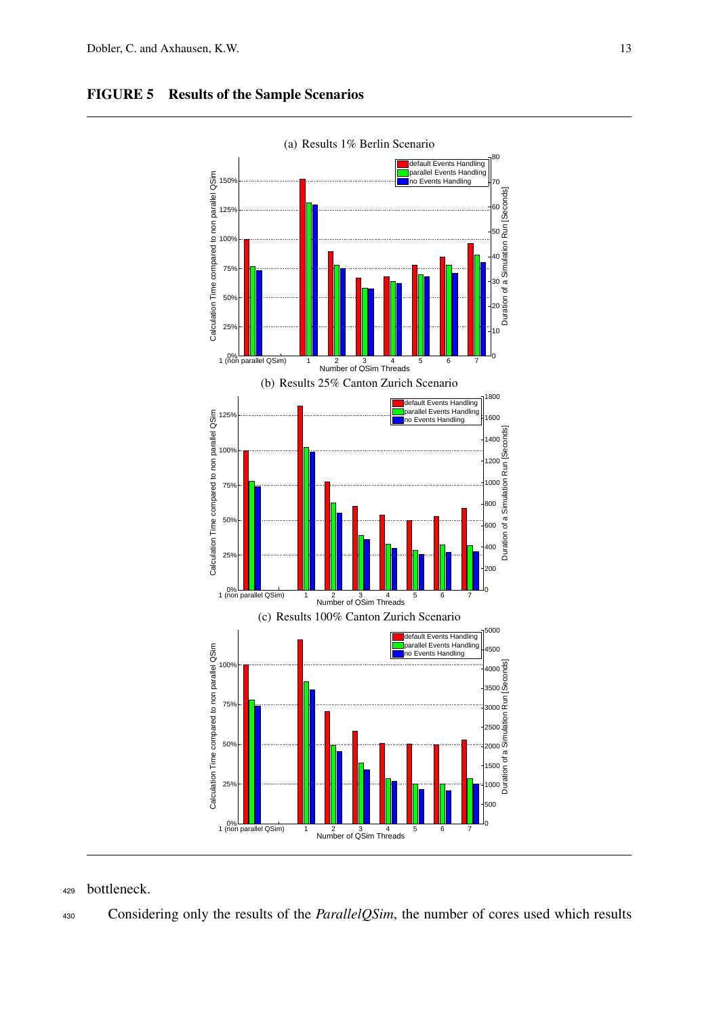

# <span id="page-14-0"></span>FIGURE 5 Results of the Sample Scenarios

<span id="page-14-1"></span><sup>429</sup> bottleneck.

<sup>430</sup> Considering only the results of the *ParallelQSim*, the number of cores used which results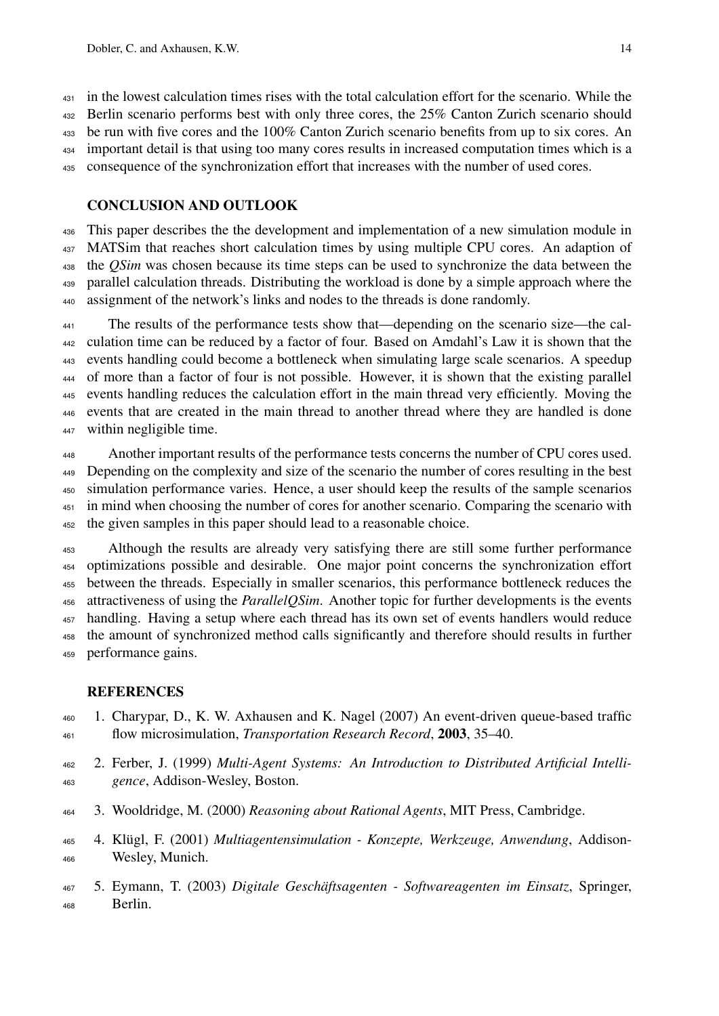in the lowest calculation times rises with the total calculation effort for the scenario. While the 432 Berlin scenario performs best with only three cores, the 25% Canton Zurich scenario should be run with five cores and the 100% Canton Zurich scenario benefits from up to six cores. An important detail is that using too many cores results in increased computation times which is a consequence of the synchronization effort that increases with the number of used cores.

## CONCLUSION AND OUTLOOK

 This paper describes the the development and implementation of a new simulation module in MATSim that reaches short calculation times by using multiple CPU cores. An adaption of the *QSim* was chosen because its time steps can be used to synchronize the data between the parallel calculation threads. Distributing the workload is done by a simple approach where the assignment of the network's links and nodes to the threads is done randomly.

 The results of the performance tests show that—depending on the scenario size—the cal- culation time can be reduced by a factor of four. Based on Amdahl's Law it is shown that the events handling could become a bottleneck when simulating large scale scenarios. A speedup of more than a factor of four is not possible. However, it is shown that the existing parallel events handling reduces the calculation effort in the main thread very efficiently. Moving the events that are created in the main thread to another thread where they are handled is done within negligible time.

Another important results of the performance tests concerns the number of CPU cores used. Depending on the complexity and size of the scenario the number of cores resulting in the best simulation performance varies. Hence, a user should keep the results of the sample scenarios in mind when choosing the number of cores for another scenario. Comparing the scenario with the given samples in this paper should lead to a reasonable choice.

 Although the results are already very satisfying there are still some further performance optimizations possible and desirable. One major point concerns the synchronization effort between the threads. Especially in smaller scenarios, this performance bottleneck reduces the attractiveness of using the *ParallelQSim*. Another topic for further developments is the events handling. Having a setup where each thread has its own set of events handlers would reduce the amount of synchronized method calls significantly and therefore should results in further performance gains.

## <span id="page-15-0"></span>**REFERENCES**

- 1. Charypar, D., K. W. Axhausen and K. Nagel (2007) An event-driven queue-based traffic flow microsimulation, *Transportation Research Record*, 2003, 35–40.
- <span id="page-15-1"></span> 2. Ferber, J. (1999) *Multi-Agent Systems: An Introduction to Distributed Artificial Intelli-gence*, Addison-Wesley, Boston.
- <span id="page-15-2"></span>3. Wooldridge, M. (2000) *Reasoning about Rational Agents*, MIT Press, Cambridge.
- <span id="page-15-3"></span> 4. Klügl, F. (2001) *Multiagentensimulation - Konzepte, Werkzeuge, Anwendung*, Addison-Wesley, Munich.
- <span id="page-15-4"></span> 5. Eymann, T. (2003) *Digitale Geschäftsagenten - Softwareagenten im Einsatz*, Springer, Berlin.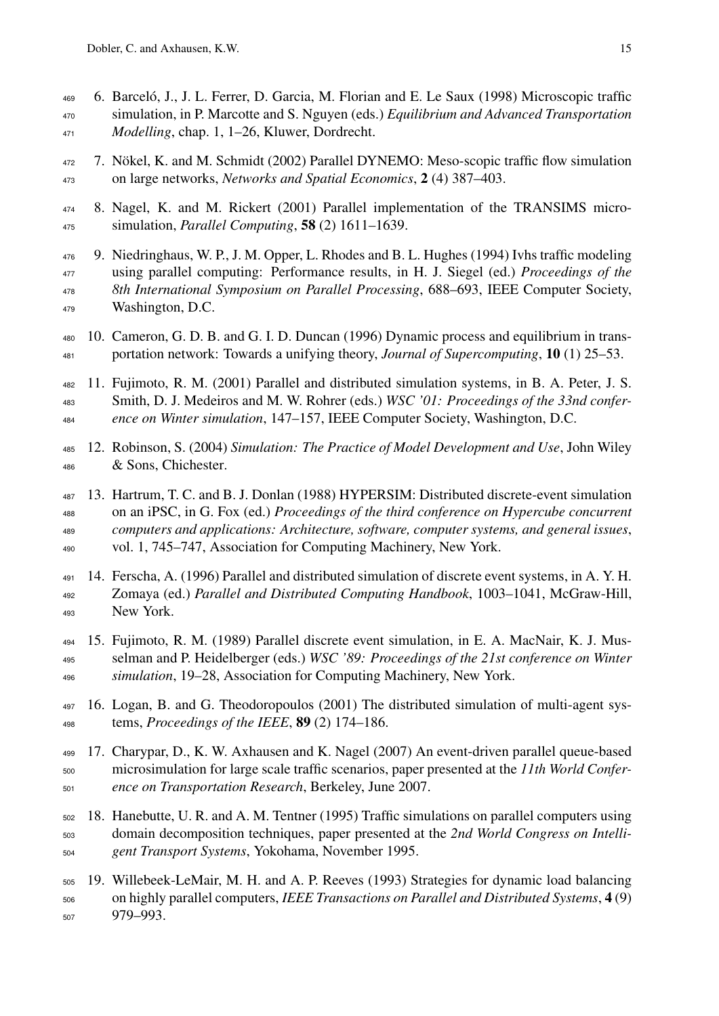- <span id="page-16-0"></span> 6. Barceló, J., J. L. Ferrer, D. Garcia, M. Florian and E. Le Saux (1998) Microscopic traffic simulation, in P. Marcotte and S. Nguyen (eds.) *Equilibrium and Advanced Transportation Modelling*, chap. 1, 1–26, Kluwer, Dordrecht.
- <span id="page-16-1"></span> 7. Nökel, K. and M. Schmidt (2002) Parallel DYNEMO: Meso-scopic traffic flow simulation on large networks, *Networks and Spatial Economics*, 2 (4) 387–403.
- <span id="page-16-2"></span> 8. Nagel, K. and M. Rickert (2001) Parallel implementation of the TRANSIMS micro-simulation, *Parallel Computing*, 58 (2) 1611–1639.
- <span id="page-16-4"></span> 9. Niedringhaus, W. P., J. M. Opper, L. Rhodes and B. L. Hughes (1994) Ivhs traffic modeling using parallel computing: Performance results, in H. J. Siegel (ed.) *Proceedings of the 8th International Symposium on Parallel Processing*, 688–693, IEEE Computer Society, Washington, D.C.
- <span id="page-16-5"></span> 10. Cameron, G. D. B. and G. I. D. Duncan (1996) Dynamic process and equilibrium in trans-portation network: Towards a unifying theory, *Journal of Supercomputing*, 10 (1) 25–53.
- <span id="page-16-6"></span> 11. Fujimoto, R. M. (2001) Parallel and distributed simulation systems, in B. A. Peter, J. S. Smith, D. J. Medeiros and M. W. Rohrer (eds.) *WSC '01: Proceedings of the 33nd confer-ence on Winter simulation*, 147–157, IEEE Computer Society, Washington, D.C.
- <span id="page-16-7"></span> 12. Robinson, S. (2004) *Simulation: The Practice of Model Development and Use*, John Wiley & Sons, Chichester.
- <span id="page-16-8"></span> 13. Hartrum, T. C. and B. J. Donlan (1988) HYPERSIM: Distributed discrete-event simulation on an iPSC, in G. Fox (ed.) *Proceedings of the third conference on Hypercube concurrent computers and applications: Architecture, software, computer systems, and general issues*, vol. 1, 745–747, Association for Computing Machinery, New York.
- <span id="page-16-9"></span> 14. Ferscha, A. (1996) Parallel and distributed simulation of discrete event systems, in A. Y. H. Zomaya (ed.) *Parallel and Distributed Computing Handbook*, 1003–1041, McGraw-Hill, New York.
- <span id="page-16-10"></span> 15. Fujimoto, R. M. (1989) Parallel discrete event simulation, in E. A. MacNair, K. J. Mus- selman and P. Heidelberger (eds.) *WSC '89: Proceedings of the 21st conference on Winter simulation*, 19–28, Association for Computing Machinery, New York.
- <span id="page-16-11"></span> 16. Logan, B. and G. Theodoropoulos (2001) The distributed simulation of multi-agent sys-tems, *Proceedings of the IEEE*, 89 (2) 174–186.
- <span id="page-16-3"></span> 17. Charypar, D., K. W. Axhausen and K. Nagel (2007) An event-driven parallel queue-based microsimulation for large scale traffic scenarios, paper presented at the *11th World Confer-ence on Transportation Research*, Berkeley, June 2007.
- <span id="page-16-12"></span> 18. Hanebutte, U. R. and A. M. Tentner (1995) Traffic simulations on parallel computers using domain decomposition techniques, paper presented at the *2nd World Congress on Intelli-gent Transport Systems*, Yokohama, November 1995.
- <span id="page-16-13"></span> 19. Willebeek-LeMair, M. H. and A. P. Reeves (1993) Strategies for dynamic load balancing on highly parallel computers, *IEEE Transactions on Parallel and Distributed Systems*, 4 (9) 979–993.